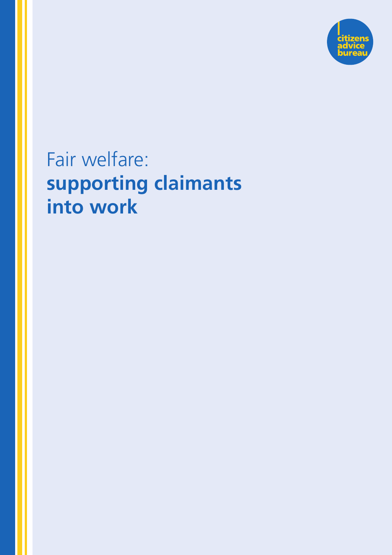

# Fair welfare: **supporting claimants into work**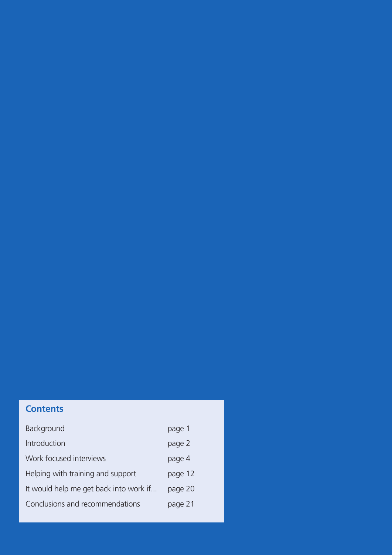# **Contents**

| Background                             | page 1  |
|----------------------------------------|---------|
| Introduction                           | page 2  |
| Work focused interviews                | page 4  |
| Helping with training and support      | page 12 |
| It would help me get back into work if | page 20 |
| Conclusions and recommendations        | page 21 |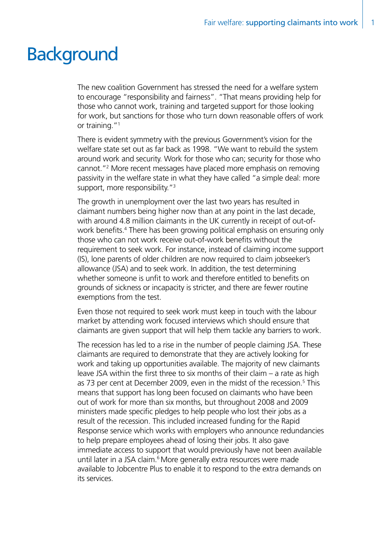# **Background**

The new coalition Government has stressed the need for a welfare system to encourage "responsibility and fairness". "That means providing help for those who cannot work, training and targeted support for those looking for work, but sanctions for those who turn down reasonable offers of work or training."<sup>1</sup>

There is evident symmetry with the previous Government's vision for the welfare state set out as far back as 1998. "We want to rebuild the system around work and security. Work for those who can; security for those who cannot."2 More recent messages have placed more emphasis on removing passivity in the welfare state in what they have called "a simple deal: more support, more responsibility."<sup>3</sup>

The growth in unemployment over the last two years has resulted in claimant numbers being higher now than at any point in the last decade, with around 4.8 million claimants in the UK currently in receipt of out-ofwork benefits.<sup>4</sup> There has been growing political emphasis on ensuring only those who can not work receive out-of-work benefits without the requirement to seek work. For instance, instead of claiming income support (IS), lone parents of older children are now required to claim jobseeker's allowance (JSA) and to seek work. In addition, the test determining whether someone is unfit to work and therefore entitled to benefits on grounds of sickness or incapacity is stricter, and there are fewer routine exemptions from the test.

Even those not required to seek work must keep in touch with the labour market by attending work focused interviews which should ensure that claimants are given support that will help them tackle any barriers to work.

The recession has led to a rise in the number of people claiming JSA. These claimants are required to demonstrate that they are actively looking for work and taking up opportunities available. The majority of new claimants leave JSA within the first three to six months of their claim – a rate as high as 73 per cent at December 2009, even in the midst of the recession.<sup>5</sup> This means that support has long been focused on claimants who have been out of work for more than six months, but throughout 2008 and 2009 ministers made specific pledges to help people who lost their jobs as a result of the recession. This included increased funding for the Rapid Response service which works with employers who announce redundancies to help prepare employees ahead of losing their jobs. It also gave immediate access to support that would previously have not been available until later in a JSA claim.<sup>6</sup> More generally extra resources were made available to Jobcentre Plus to enable it to respond to the extra demands on its services.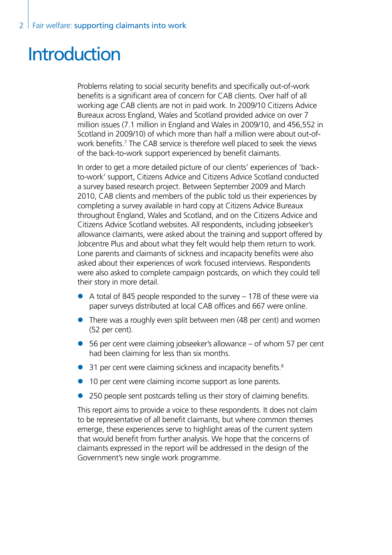# **Introduction**

Problems relating to social security benefits and specifically out-of-work benefits is a significant area of concern for CAB clients. Over half of all working age CAB clients are not in paid work. In 2009/10 Citizens Advice Bureaux across England, Wales and Scotland provided advice on over 7 million issues (7.1 million in England and Wales in 2009/10, and 456,552 in Scotland in 2009/10) of which more than half a million were about out-ofwork benefits.<sup>7</sup> The CAB service is therefore well placed to seek the views of the back-to-work support experienced by benefit claimants.

In order to get a more detailed picture of our clients' experiences of 'backto-work' support, Citizens Advice and Citizens Advice Scotland conducted a survey based research project. Between September 2009 and March 2010, CAB clients and members of the public told us their experiences by completing a survey available in hard copy at Citizens Advice Bureaux throughout England, Wales and Scotland, and on the Citizens Advice and Citizens Advice Scotland websites. All respondents, including jobseeker's allowance claimants, were asked about the training and support offered by Jobcentre Plus and about what they felt would help them return to work. Lone parents and claimants of sickness and incapacity benefits were also asked about their experiences of work focused interviews. Respondents were also asked to complete campaign postcards, on which they could tell their story in more detail.

- $\bullet$  A total of 845 people responded to the survey 178 of these were via paper surveys distributed at local CAB offices and 667 were online.
- $\bullet$  There was a roughly even split between men (48 per cent) and women (52 per cent).
- $\bullet$  56 per cent were claiming jobseeker's allowance of whom 57 per cent had been claiming for less than six months.
- $\bullet$  31 per cent were claiming sickness and incapacity benefits.<sup>8</sup>
- 10 per cent were claiming income support as lone parents.
- 250 people sent postcards telling us their story of claiming benefits.

This report aims to provide a voice to these respondents. It does not claim to be representative of all benefit claimants, but where common themes emerge, these experiences serve to highlight areas of the current system that would benefit from further analysis. We hope that the concerns of claimants expressed in the report will be addressed in the design of the Government's new single work programme.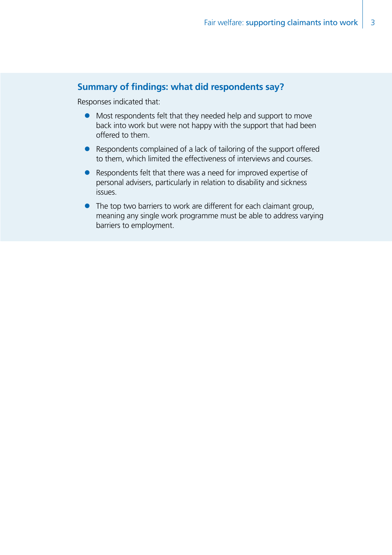## **Summary of findings: what did respondents say?**

Responses indicated that:

- Most respondents felt that they needed help and support to move back into work but were not happy with the support that had been offered to them.
- $\bullet$  Respondents complained of a lack of tailoring of the support offered to them, which limited the effectiveness of interviews and courses.
- Respondents felt that there was a need for improved expertise of personal advisers, particularly in relation to disability and sickness issues.
- $\bullet$  The top two barriers to work are different for each claimant group, meaning any single work programme must be able to address varying barriers to employment.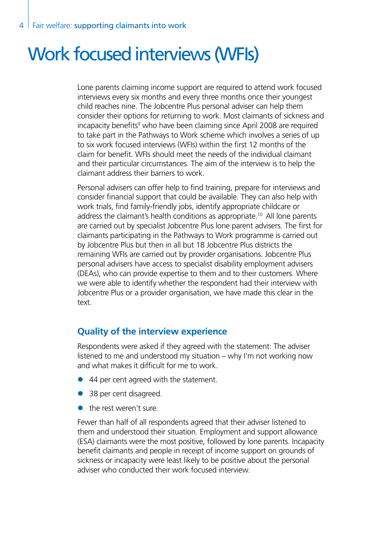# Work focused interviews (WFIs)

Lone parents claiming income support are required to attend work focused interviews every six months and every three months once their youngest child reaches nine. The Jobcentre Plus personal adviser can help them consider their options for returning to work. Most claimants of sickness and incapacity benefits<sup>9</sup> who have been claiming since April 2008 are required to take part in the Pathways to Work scheme which involves a series of up to six work focused interviews (WFIs) within the first 12 months of the claim for benefit. WFIs should meet the needs of the individual claimant and their particular circumstances. The aim of the interview is to help the claimant address their barriers to work.

Personal advisers can offer help to find training, prepare for interviews and consider financial support that could be available. They can also help with work trials, find family-friendly jobs, identify appropriate childcare or address the claimant's health conditions as appropriate.<sup>10</sup> All lone parents are carried out by specialist Jobcentre Plus lone parent advisers. The first for claimants participating in the Pathways to Work programme is carried out by Jobcentre Plus but then in all but 18 Jobcentre Plus districts the remaining WFIs are carried out by provider organisations. Jobcentre Plus personal advisers have access to specialist disability employment advisers (DEAs), who can provide expertise to them and to their customers. Where we were able to identify whether the respondent had their interview with Jobcentre Plus or a provider organisation, we have made this clear in the text.

## **Quality of the interview experience**

Respondents were asked if they agreed with the statement: The adviser listened to me and understood my situation – why I'm not working now and what makes it difficult for me to work.

- $\bullet$  44 per cent agreed with the statement.
- 38 per cent disagreed.
- $\bullet$  the rest weren't sure.

Fewer than half of all respondents agreed that their adviser listened to them and understood their situation. Employment and support allowance (ESA) claimants were the most positive, followed by lone parents. Incapacity benefit claimants and people in receipt of income support on grounds of sickness or incapacity were least likely to be positive about the personal adviser who conducted their work focused interview.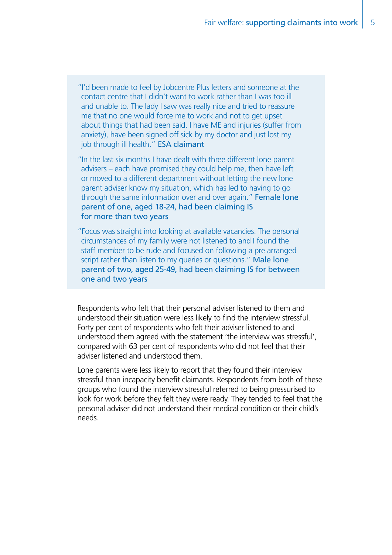"I'd been made to feel by Jobcentre Plus letters and someone at the contact centre that I didn't want to work rather than I was too ill and unable to. The lady I saw was really nice and tried to reassure me that no one would force me to work and not to get upset about things that had been said. I have ME and injuries (suffer from anxiety), have been signed off sick by my doctor and just lost my job through ill health." ESA claimant

"In the last six months I have dealt with three different lone parent advisers – each have promised they could help me, then have left or moved to a different department without letting the new lone parent adviser know my situation, which has led to having to go through the same information over and over again." Female lone parent of one, aged 18-24, had been claiming IS for more than two years

"Focus was straight into looking at available vacancies. The personal circumstances of my family were not listened to and I found the staff member to be rude and focused on following a pre arranged script rather than listen to my queries or questions." Male lone parent of two, aged 25-49, had been claiming IS for between one and two years

Respondents who felt that their personal adviser listened to them and understood their situation were less likely to find the interview stressful. Forty per cent of respondents who felt their adviser listened to and understood them agreed with the statement 'the interview was stressful', compared with 63 per cent of respondents who did not feel that their adviser listened and understood them.

Lone parents were less likely to report that they found their interview stressful than incapacity benefit claimants. Respondents from both of these groups who found the interview stressful referred to being pressurised to look for work before they felt they were ready. They tended to feel that the personal adviser did not understand their medical condition or their child's needs.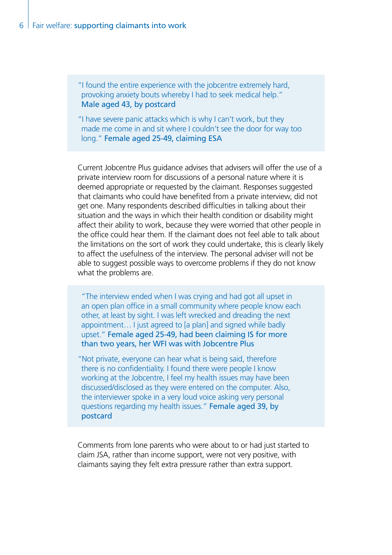"I found the entire experience with the jobcentre extremely hard, provoking anxiety bouts whereby I had to seek medical help." Male aged 43, by postcard

"I have severe panic attacks which is why I can't work, but they made me come in and sit where I couldn't see the door for way too long." Female aged 25-49, claiming ESA

Current Jobcentre Plus guidance advises that advisers will offer the use of a private interview room for discussions of a personal nature where it is deemed appropriate or requested by the claimant. Responses suggested that claimants who could have benefited from a private interview, did not get one. Many respondents described difficulties in talking about their situation and the ways in which their health condition or disability might affect their ability to work, because they were worried that other people in the office could hear them. If the claimant does not feel able to talk about the limitations on the sort of work they could undertake, this is clearly likely to affect the usefulness of the interview. The personal adviser will not be able to suggest possible ways to overcome problems if they do not know what the problems are.

"The interview ended when I was crying and had got all upset in an open plan office in a small community where people know each other, at least by sight. I was left wrecked and dreading the next appointment… I just agreed to [a plan] and signed while badly upset." Female aged 25-49, had been claiming IS for more than two years, her WFI was with Jobcentre Plus

"Not private, everyone can hear what is being said, therefore there is no confidentiality. I found there were people I know working at the Jobcentre, I feel my health issues may have been discussed/disclosed as they were entered on the computer. Also, the interviewer spoke in a very loud voice asking very personal questions regarding my health issues." Female aged 39, by postcard

Comments from lone parents who were about to or had just started to claim JSA, rather than income support, were not very positive, with claimants saying they felt extra pressure rather than extra support.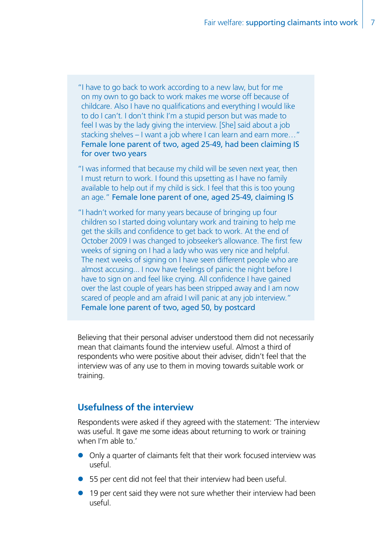"I have to go back to work according to a new law, but for me on my own to go back to work makes me worse off because of childcare. Also I have no qualifications and everything I would like to do I can't. I don't think I'm a stupid person but was made to feel I was by the lady giving the interview. [She] said about a job stacking shelves – I want a job where I can learn and earn more…" Female lone parent of two, aged 25-49, had been claiming IS for over two years

"I was informed that because my child will be seven next year, then I must return to work. I found this upsetting as I have no family available to help out if my child is sick. I feel that this is too young an age." Female lone parent of one, aged 25-49, claiming IS

"I hadn't worked for many years because of bringing up four children so I started doing voluntary work and training to help me get the skills and confidence to get back to work. At the end of October 2009 I was changed to jobseeker's allowance. The first few weeks of signing on I had a lady who was very nice and helpful. The next weeks of signing on I have seen different people who are almost accusing... I now have feelings of panic the night before I have to sign on and feel like crying. All confidence I have gained over the last couple of years has been stripped away and I am now scared of people and am afraid I will panic at any job interview." Female lone parent of two, aged 50, by postcard

Believing that their personal adviser understood them did not necessarily mean that claimants found the interview useful. Almost a third of respondents who were positive about their adviser, didn't feel that the interview was of any use to them in moving towards suitable work or training.

## **Usefulness of the interview**

Respondents were asked if they agreed with the statement: 'The interview was useful. It gave me some ideas about returning to work or training when I'm able to.'

- Only a quarter of claimants felt that their work focused interview was useful.
- 55 per cent did not feel that their interview had been useful.
- $\bullet$  19 per cent said they were not sure whether their interview had been useful.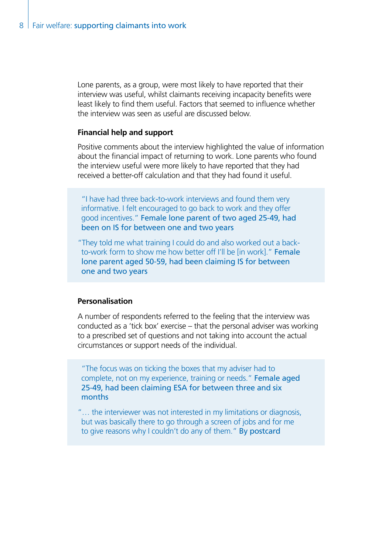Lone parents, as a group, were most likely to have reported that their interview was useful, whilst claimants receiving incapacity benefits were least likely to find them useful. Factors that seemed to influence whether the interview was seen as useful are discussed below.

#### **Financial help and support**

Positive comments about the interview highlighted the value of information about the financial impact of returning to work. Lone parents who found the interview useful were more likely to have reported that they had received a better-off calculation and that they had found it useful.

"I have had three back-to-work interviews and found them very informative. I felt encouraged to go back to work and they offer good incentives." Female lone parent of two aged 25-49, had been on IS for between one and two years

"They told me what training I could do and also worked out a backto-work form to show me how better off I'll be [in work]." Female lone parent aged 50-59, had been claiming IS for between one and two years

#### **Personalisation**

A number of respondents referred to the feeling that the interview was conducted as a 'tick box' exercise – that the personal adviser was working to a prescribed set of questions and not taking into account the actual circumstances or support needs of the individual.

"The focus was on ticking the boxes that my adviser had to complete, not on my experience, training or needs." Female aged 25-49, had been claiming ESA for between three and six months

"… the interviewer was not interested in my limitations or diagnosis, but was basically there to go through a screen of jobs and for me to give reasons why I couldn't do any of them." By postcard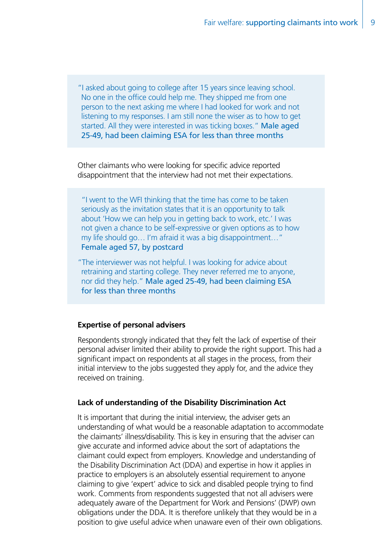"I asked about going to college after 15 years since leaving school. No one in the office could help me. They shipped me from one person to the next asking me where I had looked for work and not listening to my responses. I am still none the wiser as to how to get started. All they were interested in was ticking boxes." Male aged 25-49, had been claiming ESA for less than three months

Other claimants who were looking for specific advice reported disappointment that the interview had not met their expectations.

"I went to the WFI thinking that the time has come to be taken seriously as the invitation states that it is an opportunity to talk about 'How we can help you in getting back to work, etc.' I was not given a chance to be self-expressive or given options as to how my life should go… I'm afraid it was a big disappointment…" Female aged 57, by postcard

"The interviewer was not helpful. I was looking for advice about retraining and starting college. They never referred me to anyone, nor did they help." Male aged 25-49, had been claiming ESA for less than three months

#### **Expertise of personal advisers**

Respondents strongly indicated that they felt the lack of expertise of their personal adviser limited their ability to provide the right support. This had a significant impact on respondents at all stages in the process, from their initial interview to the jobs suggested they apply for, and the advice they received on training.

#### **Lack of understanding of the Disability Discrimination Act**

It is important that during the initial interview, the adviser gets an understanding of what would be a reasonable adaptation to accommodate the claimants' illness/disability. This is key in ensuring that the adviser can give accurate and informed advice about the sort of adaptations the claimant could expect from employers. Knowledge and understanding of the Disability Discrimination Act (DDA) and expertise in how it applies in practice to employers is an absolutely essential requirement to anyone claiming to give 'expert' advice to sick and disabled people trying to find work. Comments from respondents suggested that not all advisers were adequately aware of the Department for Work and Pensions' (DWP) own obligations under the DDA. It is therefore unlikely that they would be in a position to give useful advice when unaware even of their own obligations.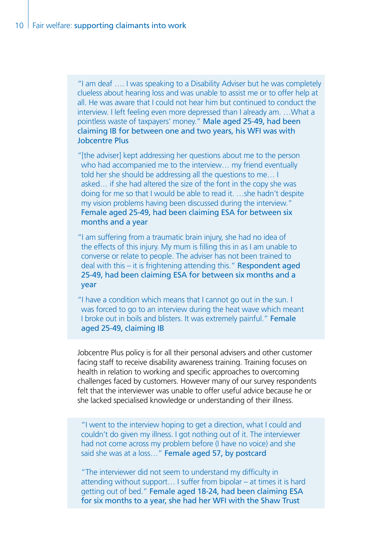"I am deaf …. I was speaking to a Disability Adviser but he was completely clueless about hearing loss and was unable to assist me or to offer help at all. He was aware that I could not hear him but continued to conduct the interview. I left feeling even more depressed than I already am. …What a pointless waste of taxpayers' money." Male aged 25-49, had been claiming IB for between one and two years, his WFI was with Jobcentre Plus

"[the adviser] kept addressing her questions about me to the person who had accompanied me to the interview… my friend eventually told her she should be addressing all the questions to me… I asked… if she had altered the size of the font in the copy she was doing for me so that I would be able to read it. …she hadn't despite my vision problems having been discussed during the interview." Female aged 25-49, had been claiming ESA for between six months and a year

"I am suffering from a traumatic brain injury, she had no idea of the effects of this injury. My mum is filling this in as I am unable to converse or relate to people. The adviser has not been trained to deal with this – it is frightening attending this." Respondent aged 25-49, had been claiming ESA for between six months and a year

"I have a condition which means that I cannot go out in the sun. I was forced to go to an interview during the heat wave which meant I broke out in boils and blisters. It was extremely painful." Female aged 25-49, claiming IB

Jobcentre Plus policy is for all their personal advisers and other customer facing staff to receive disability awareness training. Training focuses on health in relation to working and specific approaches to overcoming challenges faced by customers. However many of our survey respondents felt that the interviewer was unable to offer useful advice because he or she lacked specialised knowledge or understanding of their illness.

"I went to the interview hoping to get a direction, what I could and couldn't do given my illness. I got nothing out of it. The interviewer had not come across my problem before (I have no voice) and she said she was at a loss..." Female aged 57, by postcard

"The interviewer did not seem to understand my difficulty in attending without support… I suffer from bipolar – at times it is hard getting out of bed." Female aged 18-24, had been claiming ESA for six months to a year, she had her WFI with the Shaw Trust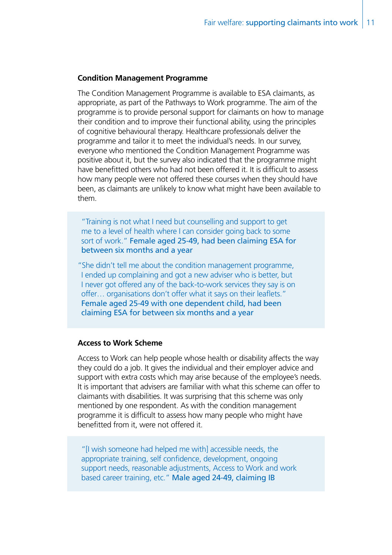#### **Condition Management Programme**

The Condition Management Programme is available to ESA claimants, as appropriate, as part of the Pathways to Work programme. The aim of the programme is to provide personal support for claimants on how to manage their condition and to improve their functional ability, using the principles of cognitive behavioural therapy. Healthcare professionals deliver the programme and tailor it to meet the individual's needs. In our survey, everyone who mentioned the Condition Management Programme was positive about it, but the survey also indicated that the programme might have benefitted others who had not been offered it. It is difficult to assess how many people were not offered these courses when they should have been, as claimants are unlikely to know what might have been available to them.

"Training is not what I need but counselling and support to get me to a level of health where I can consider going back to some sort of work." Female aged 25-49, had been claiming ESA for between six months and a year

"She didn't tell me about the condition management programme, I ended up complaining and got a new adviser who is better, but I never got offered any of the back-to-work services they say is on offer… organisations don't offer what it says on their leaflets." Female aged 25-49 with one dependent child, had been claiming ESA for between six months and a year

#### **Access to Work Scheme**

Access to Work can help people whose health or disability affects the way they could do a job. It gives the individual and their employer advice and support with extra costs which may arise because of the employee's needs. It is important that advisers are familiar with what this scheme can offer to claimants with disabilities. It was surprising that this scheme was only mentioned by one respondent. As with the condition management programme it is difficult to assess how many people who might have benefitted from it, were not offered it.

"[I wish someone had helped me with] accessible needs, the appropriate training, self confidence, development, ongoing support needs, reasonable adjustments, Access to Work and work based career training, etc." Male aged 24-49, claiming IB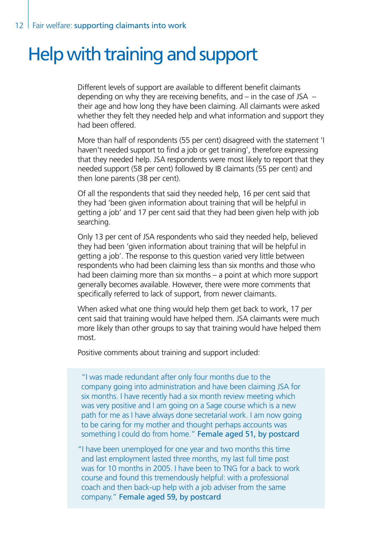# Help with training and support

Different levels of support are available to different benefit claimants depending on why they are receiving benefits, and  $-$  in the case of JSA  $$ their age and how long they have been claiming. All claimants were asked whether they felt they needed help and what information and support they had been offered.

More than half of respondents (55 per cent) disagreed with the statement 'I haven't needed support to find a job or get training', therefore expressing that they needed help. JSA respondents were most likely to report that they needed support (58 per cent) followed by IB claimants (55 per cent) and then lone parents (38 per cent).

Of all the respondents that said they needed help, 16 per cent said that they had 'been given information about training that will be helpful in getting a job' and 17 per cent said that they had been given help with job searching.

Only 13 per cent of JSA respondents who said they needed help, believed they had been 'given information about training that will be helpful in getting a job'. The response to this question varied very little between respondents who had been claiming less than six months and those who had been claiming more than six months – a point at which more support generally becomes available. However, there were more comments that specifically referred to lack of support, from newer claimants.

When asked what one thing would help them get back to work, 17 per cent said that training would have helped them. JSA claimants were much more likely than other groups to say that training would have helped them most.

Positive comments about training and support included:

"I was made redundant after only four months due to the company going into administration and have been claiming JSA for six months. I have recently had a six month review meeting which was very positive and I am going on a Sage course which is a new path for me as I have always done secretarial work. I am now going to be caring for my mother and thought perhaps accounts was something I could do from home." Female aged 51, by postcard

"I have been unemployed for one year and two months this time and last employment lasted three months, my last full time post was for 10 months in 2005. I have been to TNG for a back to work course and found this tremendously helpful: with a professional coach and then back-up help with a job adviser from the same company." Female aged 59, by postcard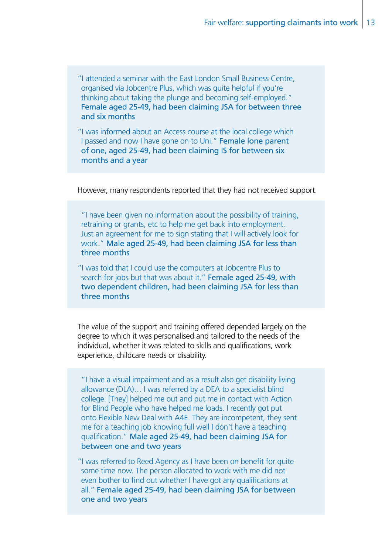"I attended a seminar with the East London Small Business Centre, organised via Jobcentre Plus, which was quite helpful if you're thinking about taking the plunge and becoming self-employed." Female aged 25-49, had been claiming JSA for between three and six months

"I was informed about an Access course at the local college which I passed and now I have gone on to Uni." Female lone parent of one, aged 25-49, had been claiming IS for between six months and a year

However, many respondents reported that they had not received support.

"I have been given no information about the possibility of training, retraining or grants, etc to help me get back into employment. Just an agreement for me to sign stating that I will actively look for work." Male aged 25-49, had been claiming JSA for less than three months

"I was told that I could use the computers at Jobcentre Plus to search for jobs but that was about it." Female aged 25-49, with two dependent children, had been claiming JSA for less than three months

The value of the support and training offered depended largely on the degree to which it was personalised and tailored to the needs of the individual, whether it was related to skills and qualifications, work experience, childcare needs or disability.

"I have a visual impairment and as a result also get disability living allowance (DLA)… I was referred by a DEA to a specialist blind college. [They] helped me out and put me in contact with Action for Blind People who have helped me loads. I recently got put onto Flexible New Deal with A4E. They are incompetent, they sent me for a teaching job knowing full well I don't have a teaching qualification." Male aged 25-49, had been claiming JSA for between one and two years

"I was referred to Reed Agency as I have been on benefit for quite some time now. The person allocated to work with me did not even bother to find out whether I have got any qualifications at all." Female aged 25-49, had been claiming JSA for between one and two years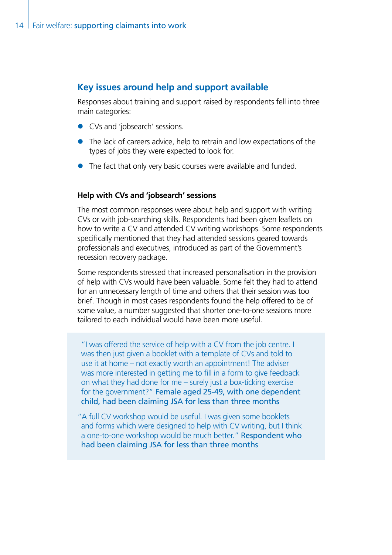## **Key issues around help and support available**

Responses about training and support raised by respondents fell into three main categories:

- CVs and 'jobsearch' sessions.
- $\bullet$  The lack of careers advice, help to retrain and low expectations of the types of jobs they were expected to look for.
- $\bullet$  The fact that only very basic courses were available and funded.

#### **Help with CVs and 'jobsearch' sessions**

The most common responses were about help and support with writing CVs or with job-searching skills. Respondents had been given leaflets on how to write a CV and attended CV writing workshops. Some respondents specifically mentioned that they had attended sessions geared towards professionals and executives, introduced as part of the Government's recession recovery package.

Some respondents stressed that increased personalisation in the provision of help with CVs would have been valuable. Some felt they had to attend for an unnecessary length of time and others that their session was too brief. Though in most cases respondents found the help offered to be of some value, a number suggested that shorter one-to-one sessions more tailored to each individual would have been more useful.

"I was offered the service of help with a CV from the job centre. I was then just given a booklet with a template of CVs and told to use it at home – not exactly worth an appointment! The adviser was more interested in getting me to fill in a form to give feedback on what they had done for me – surely just a box-ticking exercise for the government?" Female aged 25-49, with one dependent child, had been claiming JSA for less than three months

"A full CV workshop would be useful. I was given some booklets and forms which were designed to help with CV writing, but I think a one-to-one workshop would be much better." Respondent who had been claiming JSA for less than three months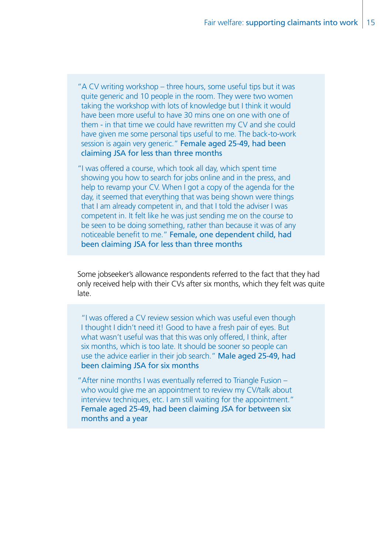"A CV writing workshop – three hours, some useful tips but it was quite generic and 10 people in the room. They were two women taking the workshop with lots of knowledge but I think it would have been more useful to have 30 mins one on one with one of them - in that time we could have rewritten my CV and she could have given me some personal tips useful to me. The back-to-work session is again very generic." Female aged 25-49, had been claiming JSA for less than three months

"I was offered a course, which took all day, which spent time showing you how to search for jobs online and in the press, and help to revamp your CV. When I got a copy of the agenda for the day, it seemed that everything that was being shown were things that I am already competent in, and that I told the adviser I was competent in. It felt like he was just sending me on the course to be seen to be doing something, rather than because it was of any noticeable benefit to me." Female, one dependent child, had been claiming JSA for less than three months

Some jobseeker's allowance respondents referred to the fact that they had only received help with their CVs after six months, which they felt was quite late.

"I was offered a CV review session which was useful even though I thought I didn't need it! Good to have a fresh pair of eyes. But what wasn't useful was that this was only offered, I think, after six months, which is too late. It should be sooner so people can use the advice earlier in their job search." Male aged 25-49, had been claiming JSA for six months

"After nine months I was eventually referred to Triangle Fusion – who would give me an appointment to review my CV/talk about interview techniques, etc. I am still waiting for the appointment." Female aged 25-49, had been claiming JSA for between six months and a year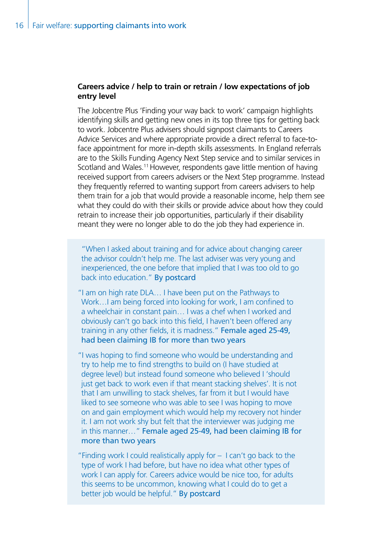#### **Careers advice / help to train or retrain / low expectations of job entry level**

The Jobcentre Plus 'Finding your way back to work' campaign highlights identifying skills and getting new ones in its top three tips for getting back to work. Jobcentre Plus advisers should signpost claimants to Careers Advice Services and where appropriate provide a direct referral to face-toface appointment for more in-depth skills assessments. In England referrals are to the Skills Funding Agency Next Step service and to similar services in Scotland and Wales.<sup>11</sup> However, respondents gave little mention of having received support from careers advisers or the Next Step programme. Instead they frequently referred to wanting support from careers advisers to help them train for a job that would provide a reasonable income, help them see what they could do with their skills or provide advice about how they could retrain to increase their job opportunities, particularly if their disability meant they were no longer able to do the job they had experience in.

"When I asked about training and for advice about changing career the advisor couldn't help me. The last adviser was very young and inexperienced, the one before that implied that I was too old to go back into education." By postcard

"I am on high rate DLA… I have been put on the Pathways to Work…I am being forced into looking for work, I am confined to a wheelchair in constant pain… I was a chef when I worked and obviously can't go back into this field, I haven't been offered any training in any other fields, it is madness." Female aged 25-49, had been claiming IB for more than two years

"I was hoping to find someone who would be understanding and try to help me to find strengths to build on (I have studied at degree level) but instead found someone who believed I 'should just get back to work even if that meant stacking shelves'. It is not that I am unwilling to stack shelves, far from it but I would have liked to see someone who was able to see I was hoping to move on and gain employment which would help my recovery not hinder it. I am not work shy but felt that the interviewer was judging me in this manner…" Female aged 25-49, had been claiming IB for more than two years

"Finding work I could realistically apply for – I can't go back to the type of work I had before, but have no idea what other types of work I can apply for. Careers advice would be nice too, for adults this seems to be uncommon, knowing what I could do to get a better job would be helpful." By postcard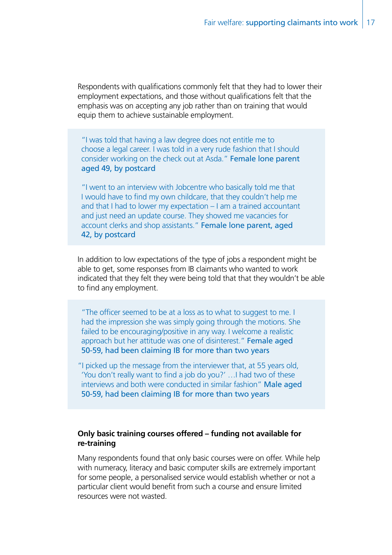Respondents with qualifications commonly felt that they had to lower their employment expectations, and those without qualifications felt that the emphasis was on accepting any job rather than on training that would equip them to achieve sustainable employment.

"I was told that having a law degree does not entitle me to choose a legal career. I was told in a very rude fashion that I should consider working on the check out at Asda." Female lone parent aged 49, by postcard

"I went to an interview with Jobcentre who basically told me that I would have to find my own childcare, that they couldn't help me and that I had to lower my expectation – I am a trained accountant and just need an update course. They showed me vacancies for account clerks and shop assistants." Female lone parent, aged 42, by postcard

In addition to low expectations of the type of jobs a respondent might be able to get, some responses from IB claimants who wanted to work indicated that they felt they were being told that that they wouldn't be able to find any employment.

"The officer seemed to be at a loss as to what to suggest to me. I had the impression she was simply going through the motions. She failed to be encouraging/positive in any way. I welcome a realistic approach but her attitude was one of disinterest." Female aged 50-59, had been claiming IB for more than two years

"I picked up the message from the interviewer that, at 55 years old, 'You don't really want to find a job do you?' …I had two of these interviews and both were conducted in similar fashion" Male aged 50-59, had been claiming IB for more than two years

#### **Only basic training courses offered – funding not available for re-training**

Many respondents found that only basic courses were on offer. While help with numeracy, literacy and basic computer skills are extremely important for some people, a personalised service would establish whether or not a particular client would benefit from such a course and ensure limited resources were not wasted.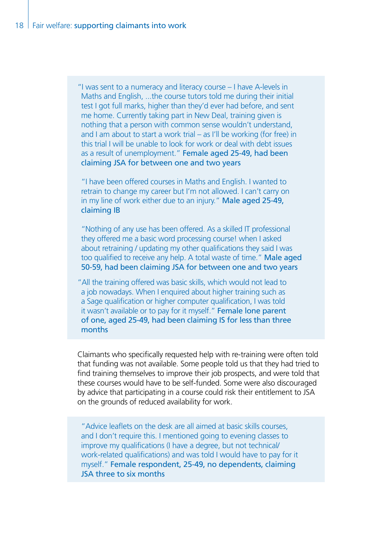"I was sent to a numeracy and literacy course – I have A-levels in Maths and English, ...the course tutors told me during their initial test I got full marks, higher than they'd ever had before, and sent me home. Currently taking part in New Deal, training given is nothing that a person with common sense wouldn't understand, and I am about to start a work trial – as I'll be working (for free) in this trial I will be unable to look for work or deal with debt issues as a result of unemployment." Female aged 25-49, had been claiming JSA for between one and two years

"I have been offered courses in Maths and English. I wanted to retrain to change my career but I'm not allowed. I can't carry on in my line of work either due to an injury." Male aged 25-49, claiming IB

"Nothing of any use has been offered. As a skilled IT professional they offered me a basic word processing course! when I asked about retraining / updating my other qualifications they said I was too qualified to receive any help. A total waste of time." Male aged 50-59, had been claiming JSA for between one and two years

"All the training offered was basic skills, which would not lead to a job nowadays. When I enquired about higher training such as a Sage qualification or higher computer qualification, I was told it wasn't available or to pay for it myself." Female lone parent of one, aged 25-49, had been claiming IS for less than three months

Claimants who specifically requested help with re-training were often told that funding was not available. Some people told us that they had tried to find training themselves to improve their job prospects, and were told that these courses would have to be self-funded. Some were also discouraged by advice that participating in a course could risk their entitlement to JSA on the grounds of reduced availability for work.

"Advice leaflets on the desk are all aimed at basic skills courses, and I don't require this. I mentioned going to evening classes to improve my qualifications (I have a degree, but not technical/ work-related qualifications) and was told I would have to pay for it myself." Female respondent, 25-49, no dependents, claiming JSA three to six months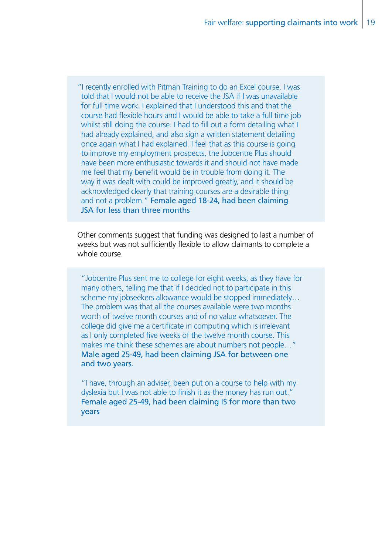"I recently enrolled with Pitman Training to do an Excel course. I was told that I would not be able to receive the JSA if I was unavailable for full time work. I explained that I understood this and that the course had flexible hours and I would be able to take a full time job whilst still doing the course. I had to fill out a form detailing what I had already explained, and also sign a written statement detailing once again what I had explained. I feel that as this course is going to improve my employment prospects, the Jobcentre Plus should have been more enthusiastic towards it and should not have made me feel that my benefit would be in trouble from doing it. The way it was dealt with could be improved greatly, and it should be acknowledged clearly that training courses are a desirable thing and not a problem." Female aged 18-24, had been claiming JSA for less than three months

Other comments suggest that funding was designed to last a number of weeks but was not sufficiently flexible to allow claimants to complete a whole course.

"Jobcentre Plus sent me to college for eight weeks, as they have for many others, telling me that if I decided not to participate in this scheme my jobseekers allowance would be stopped immediately… The problem was that all the courses available were two months worth of twelve month courses and of no value whatsoever. The college did give me a certificate in computing which is irrelevant as I only completed five weeks of the twelve month course. This makes me think these schemes are about numbers not people…" Male aged 25-49, had been claiming JSA for between one and two years.

"I have, through an adviser, been put on a course to help with my dyslexia but I was not able to finish it as the money has run out." Female aged 25-49, had been claiming IS for more than two years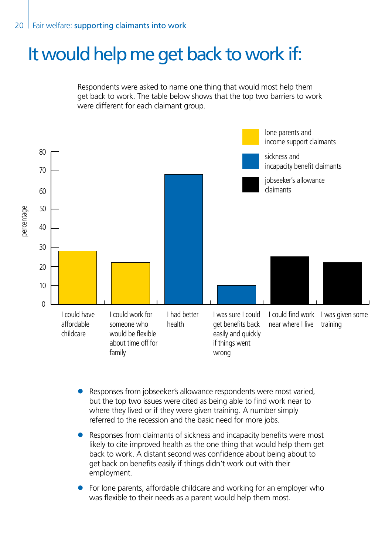# It would help me get back to work if:

Respondents were asked to name one thing that would most help them get back to work. The table below shows that the top two barriers to work were different for each claimant group.



- Responses from jobseeker's allowance respondents were most varied, but the top two issues were cited as being able to find work near to where they lived or if they were given training. A number simply referred to the recession and the basic need for more jobs.
- Responses from claimants of sickness and incapacity benefits were most likely to cite improved health as the one thing that would help them get back to work. A distant second was confidence about being about to get back on benefits easily if things didn't work out with their employment.
- $\bullet$  For lone parents, affordable childcare and working for an employer who was flexible to their needs as a parent would help them most.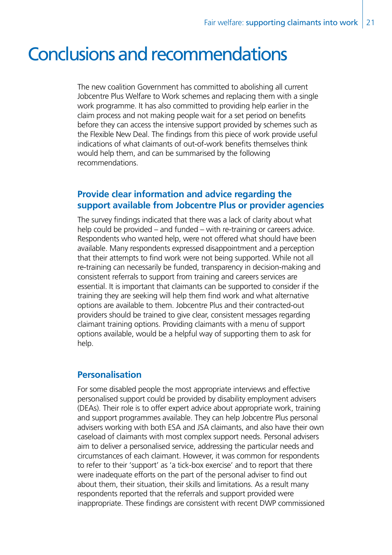# Conclusions and recommendations

The new coalition Government has committed to abolishing all current Jobcentre Plus Welfare to Work schemes and replacing them with a single work programme. It has also committed to providing help earlier in the claim process and not making people wait for a set period on benefits before they can access the intensive support provided by schemes such as the Flexible New Deal. The findings from this piece of work provide useful indications of what claimants of out-of-work benefits themselves think would help them, and can be summarised by the following recommendations.

## **Provide clear information and advice regarding the support available from Jobcentre Plus or provider agencies**

The survey findings indicated that there was a lack of clarity about what help could be provided – and funded – with re-training or careers advice. Respondents who wanted help, were not offered what should have been available. Many respondents expressed disappointment and a perception that their attempts to find work were not being supported. While not all re-training can necessarily be funded, transparency in decision-making and consistent referrals to support from training and careers services are essential. It is important that claimants can be supported to consider if the training they are seeking will help them find work and what alternative options are available to them. Jobcentre Plus and their contracted-out providers should be trained to give clear, consistent messages regarding claimant training options. Providing claimants with a menu of support options available, would be a helpful way of supporting them to ask for help.

## **Personalisation**

For some disabled people the most appropriate interviews and effective personalised support could be provided by disability employment advisers (DEAs). Their role is to offer expert advice about appropriate work, training and support programmes available. They can help Jobcentre Plus personal advisers working with both ESA and JSA claimants, and also have their own caseload of claimants with most complex support needs. Personal advisers aim to deliver a personalised service, addressing the particular needs and circumstances of each claimant. However, it was common for respondents to refer to their 'support' as 'a tick-box exercise' and to report that there were inadequate efforts on the part of the personal adviser to find out about them, their situation, their skills and limitations. As a result many respondents reported that the referrals and support provided were inappropriate. These findings are consistent with recent DWP commissioned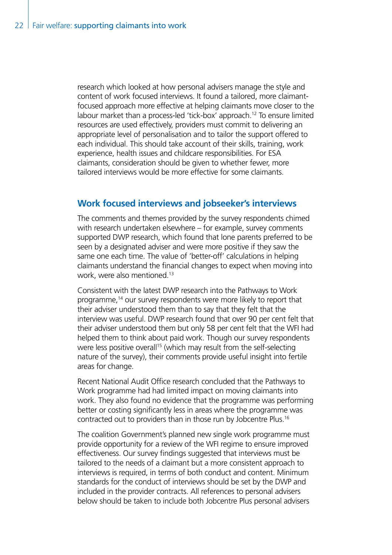research which looked at how personal advisers manage the style and content of work focused interviews. It found a tailored, more claimantfocused approach more effective at helping claimants move closer to the labour market than a process-led 'tick-box' approach.<sup>12</sup> To ensure limited resources are used effectively, providers must commit to delivering an appropriate level of personalisation and to tailor the support offered to each individual. This should take account of their skills, training, work experience, health issues and childcare responsibilities. For ESA claimants, consideration should be given to whether fewer, more tailored interviews would be more effective for some claimants.

## **Work focused interviews and jobseeker's interviews**

The comments and themes provided by the survey respondents chimed with research undertaken elsewhere – for example, survey comments supported DWP research, which found that lone parents preferred to be seen by a designated adviser and were more positive if they saw the same one each time. The value of 'better-off' calculations in helping claimants understand the financial changes to expect when moving into work, were also mentioned.13

Consistent with the latest DWP research into the Pathways to Work programme,14 our survey respondents were more likely to report that their adviser understood them than to say that they felt that the interview was useful. DWP research found that over 90 per cent felt that their adviser understood them but only 58 per cent felt that the WFI had helped them to think about paid work. Though our survey respondents were less positive overall<sup>15</sup> (which may result from the self-selecting nature of the survey), their comments provide useful insight into fertile areas for change.

Recent National Audit Office research concluded that the Pathways to Work programme had had limited impact on moving claimants into work. They also found no evidence that the programme was performing better or costing significantly less in areas where the programme was contracted out to providers than in those run by Jobcentre Plus.16

The coalition Government's planned new single work programme must provide opportunity for a review of the WFI regime to ensure improved effectiveness. Our survey findings suggested that interviews must be tailored to the needs of a claimant but a more consistent approach to interviews is required, in terms of both conduct and content. Minimum standards for the conduct of interviews should be set by the DWP and included in the provider contracts. All references to personal advisers below should be taken to include both Jobcentre Plus personal advisers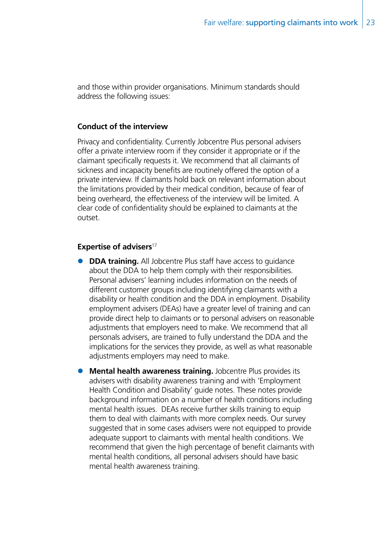and those within provider organisations. Minimum standards should address the following issues:

#### **Conduct of the interview**

Privacy and confidentiality. Currently Jobcentre Plus personal advisers offer a private interview room if they consider it appropriate or if the claimant specifically requests it. We recommend that all claimants of sickness and incapacity benefits are routinely offered the option of a private interview. If claimants hold back on relevant information about the limitations provided by their medical condition, because of fear of being overheard, the effectiveness of the interview will be limited. A clear code of confidentiality should be explained to claimants at the outset.

#### **Expertise of advisers**<sup>17</sup>

- **DDA training.** All Jobcentre Plus staff have access to guidance about the DDA to help them comply with their responsibilities. Personal advisers' learning includes information on the needs of different customer groups including identifying claimants with a disability or health condition and the DDA in employment. Disability employment advisers (DEAs) have a greater level of training and can provide direct help to claimants or to personal advisers on reasonable adjustments that employers need to make. We recommend that all personals advisers, are trained to fully understand the DDA and the implications for the services they provide, as well as what reasonable adjustments employers may need to make.
- **Mental health awareness training.** Jobcentre Plus provides its advisers with disability awareness training and with 'Employment Health Condition and Disability' guide notes. These notes provide background information on a number of health conditions including mental health issues. DEAs receive further skills training to equip them to deal with claimants with more complex needs. Our survey suggested that in some cases advisers were not equipped to provide adequate support to claimants with mental health conditions. We recommend that given the high percentage of benefit claimants with mental health conditions, all personal advisers should have basic mental health awareness training.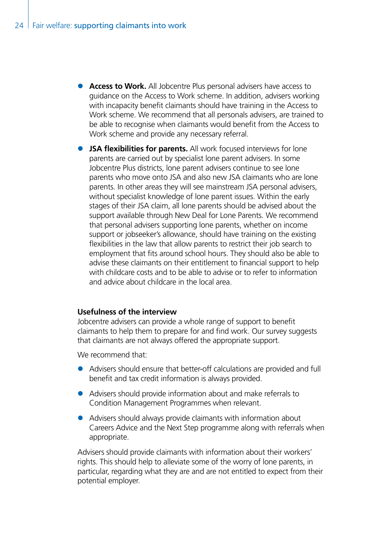- **Access to Work.** All Jobcentre Plus personal advisers have access to guidance on the Access to Work scheme. In addition, advisers working with incapacity benefit claimants should have training in the Access to Work scheme. We recommend that all personals advisers, are trained to be able to recognise when claimants would benefit from the Access to Work scheme and provide any necessary referral.
- **JSA flexibilities for parents.** All work focused interviews for lone parents are carried out by specialist lone parent advisers. In some Jobcentre Plus districts, lone parent advisers continue to see lone parents who move onto JSA and also new JSA claimants who are lone parents. In other areas they will see mainstream JSA personal advisers, without specialist knowledge of lone parent issues. Within the early stages of their JSA claim, all lone parents should be advised about the support available through New Deal for Lone Parents. We recommend that personal advisers supporting lone parents, whether on income support or jobseeker's allowance, should have training on the existing flexibilities in the law that allow parents to restrict their job search to employment that fits around school hours. They should also be able to advise these claimants on their entitlement to financial support to help with childcare costs and to be able to advise or to refer to information and advice about childcare in the local area.

#### **Usefulness of the interview**

Jobcentre advisers can provide a whole range of support to benefit claimants to help them to prepare for and find work. Our survey suggests that claimants are not always offered the appropriate support.

We recommend that:

- Advisers should ensure that better-off calculations are provided and full benefit and tax credit information is always provided.
- Advisers should provide information about and make referrals to Condition Management Programmes when relevant.
- Advisers should always provide claimants with information about Careers Advice and the Next Step programme along with referrals when appropriate.

Advisers should provide claimants with information about their workers' rights. This should help to alleviate some of the worry of lone parents, in particular, regarding what they are and are not entitled to expect from their potential employer.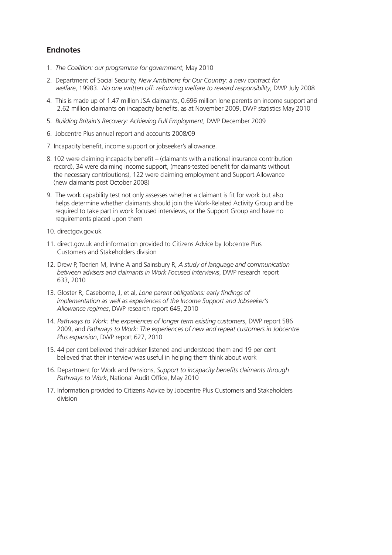#### **Endnotes**

- 1. *The Coalition: our programme for government*, May 2010
- 2. Department of Social Security, *New Ambitions for Our Country: a new contract for welfare*, 19983. *No one written off: reforming welfare to reward responsibility*, DWP July 2008
- 4. This is made up of 1.47 million JSA claimants, 0.696 million lone parents on income support and 2.62 million claimants on incapacity benefits, as at November 2009, DWP statistics May 2010
- 5. *Building Britain's Recovery: Achieving Full Employment*, DWP December 2009
- 6. Jobcentre Plus annual report and accounts 2008/09
- 7. Incapacity benefit, income support or jobseeker's allowance.
- 8. 102 were claiming incapacity benefit (claimants with a national insurance contribution record), 34 were claiming income support, (means-tested benefit for claimants without the necessary contributions), 122 were claiming employment and Support Allowance (new claimants post October 2008)
- 9. The work capability test not only assesses whether a claimant is fit for work but also helps determine whether claimants should join the Work-Related Activity Group and be required to take part in work focused interviews, or the Support Group and have no requirements placed upon them
- 10. directgov.gov.uk
- 11. direct.gov.uk and information provided to Citizens Advice by Jobcentre Plus Customers and Stakeholders division
- 12. Drew P, Toerien M, Irvine A and Sainsbury R, *A study of language and communication between advisers and claimants in Work Focused Interviews*, DWP research report 633, 2010
- 13. Gloster R, Caseborne, J, et al, *Lone parent obligations: early findings of implementation as well as experiences of the Income Support and Jobseeker's Allowance regimes*, DWP research report 645, 2010
- 14. *Pathways to Work: the experiences of longer term existing customers*, DWP report 586 2009, and *Pathways to Work: The experiences of new and repeat customers in Jobcentre Plus expansion*, DWP report 627, 2010
- 15. 44 per cent believed their adviser listened and understood them and 19 per cent believed that their interview was useful in helping them think about work
- 16. Department for Work and Pensions, *Support to incapacity benefits claimants through Pathways to Work*, National Audit Office, May 2010
- 17. Information provided to Citizens Advice by Jobcentre Plus Customers and Stakeholders division